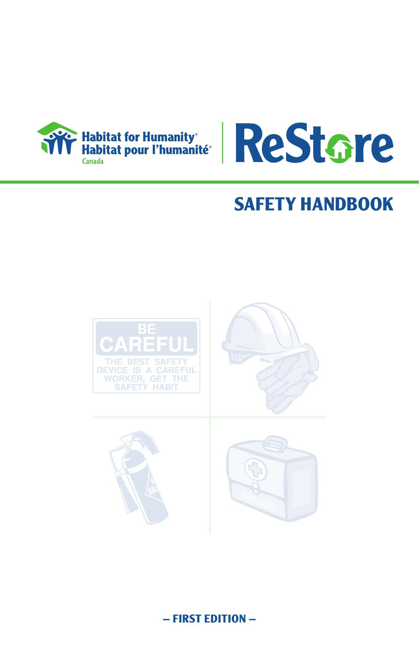



# **SAFETY HANDBOOK**



**– first edition –**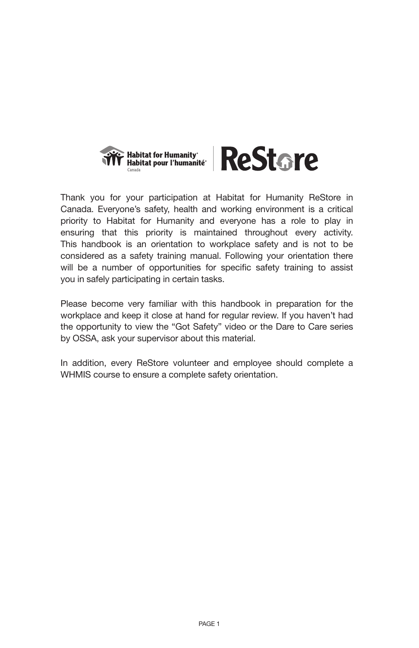



Thank you for your participation at Habitat for Humanity ReStore in Canada. Everyone's safety, health and working environment is a critical priority to Habitat for Humanity and everyone has a role to play in ensuring that this priority is maintained throughout every activity. This handbook is an orientation to workplace safety and is not to be considered as a safety training manual. Following your orientation there will be a number of opportunities for specific safety training to assist you in safely participating in certain tasks.

Please become very familiar with this handbook in preparation for the workplace and keep it close at hand for regular review. If you haven't had the opportunity to view the "Got Safety" video or the Dare to Care series by OSSA, ask your supervisor about this material.

In addition, every ReStore volunteer and employee should complete a WHMIS course to ensure a complete safety orientation.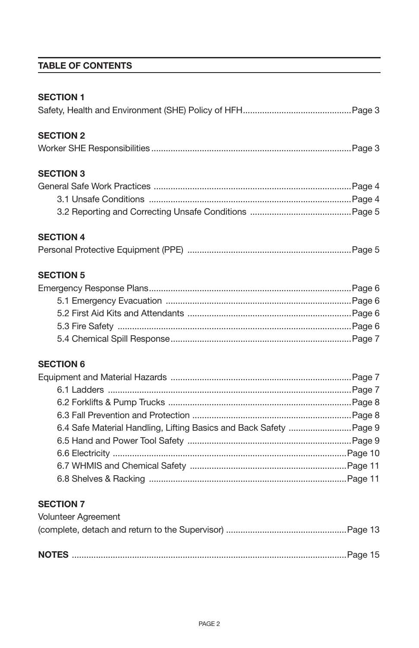# **Table of Contents**

| <b>SECTION 1</b>                                                                      |
|---------------------------------------------------------------------------------------|
| <b>SECTION 2</b>                                                                      |
| <b>SECTION 3</b>                                                                      |
| <b>SECTION 4</b>                                                                      |
| <b>SECTION 5</b>                                                                      |
| <b>SECTION 6</b><br>6.4 Safe Material Handling, Lifting Basics and Back Safety Page 9 |
| <b>SECTION 7</b><br>Volunteer Agreement                                               |

**NOTES** ..................................................................................................................Page 15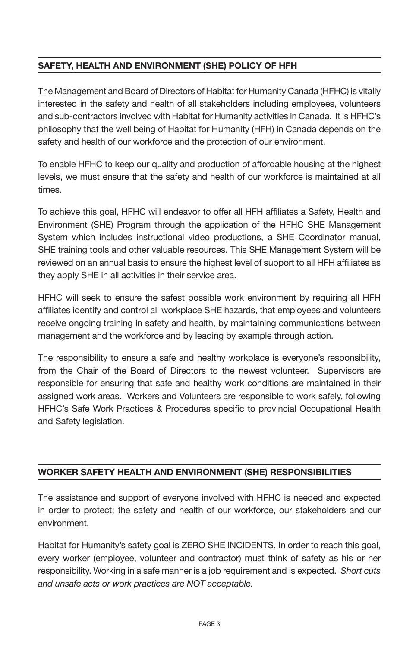# **SAFETY, HEALTH AND ENVIRONMENT (SHE) POLICY OF HFH**

The Management and Board of Directors of Habitat for Humanity Canada (HFHC) is vitally interested in the safety and health of all stakeholders including employees, volunteers and sub-contractors involved with Habitat for Humanity activities in Canada. It is HFHC's philosophy that the well being of Habitat for Humanity (HFH) in Canada depends on the safety and health of our workforce and the protection of our environment.

To enable HFHC to keep our quality and production of affordable housing at the highest levels, we must ensure that the safety and health of our workforce is maintained at all times.

To achieve this goal, HFHC will endeavor to offer all HFH affiliates a Safety, Health and Environment (SHE) Program through the application of the HFHC SHE Management System which includes instructional video productions, a SHE Coordinator manual, SHE training tools and other valuable resources. This SHE Management System will be reviewed on an annual basis to ensure the highest level of support to all HFH affiliates as they apply SHE in all activities in their service area.

HFHC will seek to ensure the safest possible work environment by requiring all HFH affiliates identify and control all workplace SHE hazards, that employees and volunteers receive ongoing training in safety and health, by maintaining communications between management and the workforce and by leading by example through action.

The responsibility to ensure a safe and healthy workplace is everyone's responsibility, from the Chair of the Board of Directors to the newest volunteer. Supervisors are responsible for ensuring that safe and healthy work conditions are maintained in their assigned work areas. Workers and Volunteers are responsible to work safely, following HFHC's Safe Work Practices & Procedures specific to provincial Occupational Health and Safety legislation.

# **WORKER SAFETY HEALTH AND ENVIRONMENT (SHE) RESPONSIBILITIES**

The assistance and support of everyone involved with HFHC is needed and expected in order to protect; the safety and health of our workforce, our stakeholders and our environment.

Habitat for Humanity's safety goal is ZERO SHE INCIDENTS. In order to reach this goal, every worker (employee, volunteer and contractor) must think of safety as his or her responsibility. Working in a safe manner is a job requirement and is expected. *Short cuts and unsafe acts or work practices are NOT acceptable.*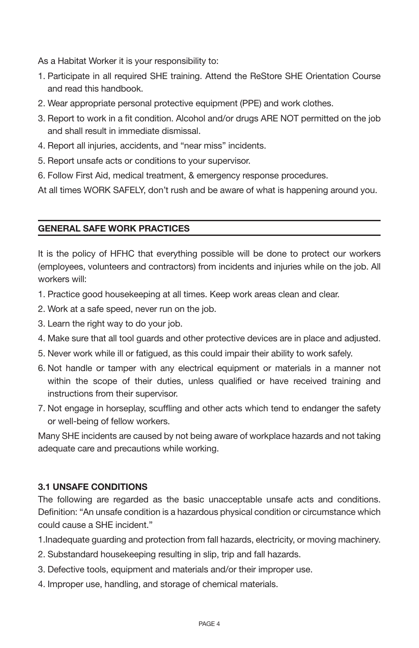As a Habitat Worker it is your responsibility to:

- 1. Participate in all required SHE training. Attend the ReStore SHE Orientation Course and read this handbook.
- 2. Wear appropriate personal protective equipment (PPE) and work clothes.
- 3. Report to work in a fit condition. Alcohol and/or drugs ARE NOT permitted on the job and shall result in immediate dismissal.
- 4. Report all injuries, accidents, and "near miss" incidents.
- 5. Report unsafe acts or conditions to your supervisor.
- 6. Follow First Aid, medical treatment, & emergency response procedures.

At all times WORK SAFELY, don't rush and be aware of what is happening around you.

#### **GENERAL SAFE WORK PRACTICES**

It is the policy of HFHC that everything possible will be done to protect our workers (employees, volunteers and contractors) from incidents and injuries while on the job. All workers will:

- 1. Practice good housekeeping at all times. Keep work areas clean and clear.
- 2. Work at a safe speed, never run on the job.
- 3. Learn the right way to do your job.
- 4. Make sure that all tool guards and other protective devices are in place and adjusted.
- 5. Never work while ill or fatigued, as this could impair their ability to work safely.
- 6. Not handle or tamper with any electrical equipment or materials in a manner not within the scope of their duties, unless qualified or have received training and instructions from their supervisor.
- 7. Not engage in horseplay, scuffling and other acts which tend to endanger the safety or well-being of fellow workers.

Many SHE incidents are caused by not being aware of workplace hazards and not taking adequate care and precautions while working.

#### **3.1 UNSAFE CONDITIONS**

The following are regarded as the basic unacceptable unsafe acts and conditions. Definition: "An unsafe condition is a hazardous physical condition or circumstance which could cause a SHE incident."

- 1.Inadequate guarding and protection from fall hazards, electricity, or moving machinery.
- 2. Substandard housekeeping resulting in slip, trip and fall hazards.
- 3. Defective tools, equipment and materials and/or their improper use.
- 4. Improper use, handling, and storage of chemical materials.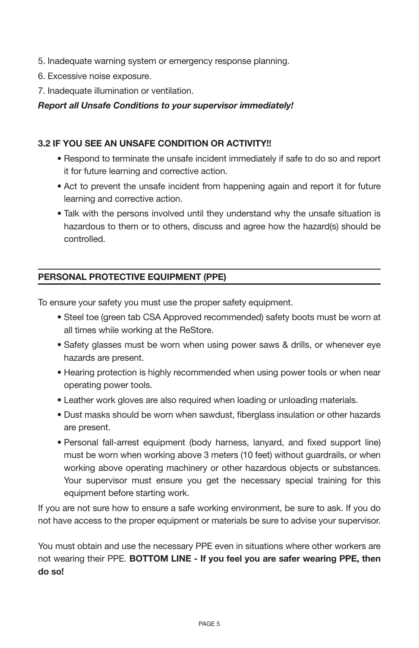- 5. Inadequate warning system or emergency response planning.
- 6. Excessive noise exposure.
- 7. Inadequate illumination or ventilation.

*Report all Unsafe Conditions to your supervisor immediately!*

#### **3.2 IF YOU SEE AN UNSAFE CONDITION OR ACTIVITY!!**

- Respond to terminate the unsafe incident immediately if safe to do so and report it for future learning and corrective action.
- Act to prevent the unsafe incident from happening again and report it for future learning and corrective action.
- Talk with the persons involved until they understand why the unsafe situation is hazardous to them or to others, discuss and agree how the hazard(s) should be controlled.

# **PERSONAL PROTECTIVE EQUIPMENT (PPE)**

To ensure your safety you must use the proper safety equipment.

- Steel toe (green tab CSA Approved recommended) safety boots must be worn at all times while working at the ReStore.
- Safety glasses must be worn when using power saws & drills, or whenever eye hazards are present.
- Hearing protection is highly recommended when using power tools or when near operating power tools.
- Leather work gloves are also required when loading or unloading materials.
- Dust masks should be worn when sawdust, fiberglass insulation or other hazards are present.
- Personal fall-arrest equipment (body harness, lanyard, and fixed support line) must be worn when working above 3 meters (10 feet) without guardrails, or when working above operating machinery or other hazardous objects or substances. Your supervisor must ensure you get the necessary special training for this equipment before starting work.

If you are not sure how to ensure a safe working environment, be sure to ask. If you do not have access to the proper equipment or materials be sure to advise your supervisor.

You must obtain and use the necessary PPE even in situations where other workers are not wearing their PPE. **BOTTOM LINE - If you feel you are safer wearing PPE, then do so!**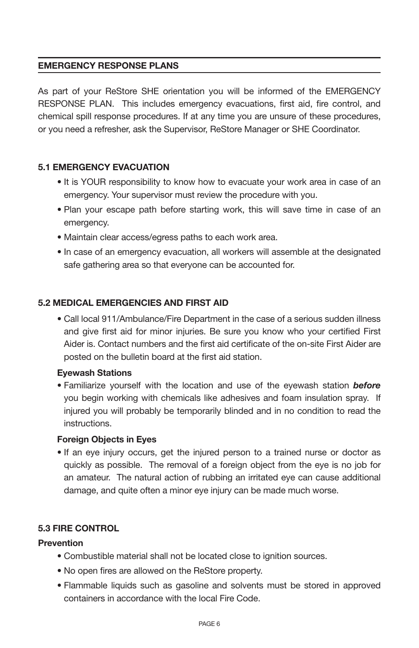### **EMERGENCY RESPONSE PLANS**

As part of your ReStore SHE orientation you will be informed of the EMERGENCY RESPONSE PLAN. This includes emergency evacuations, first aid, fire control, and chemical spill response procedures. If at any time you are unsure of these procedures, or you need a refresher, ask the Supervisor, ReStore Manager or SHE Coordinator.

#### **5.1 EMERGENCY EVACUATION**

- It is YOUR responsibility to know how to evacuate your work area in case of an emergency. Your supervisor must review the procedure with you.
- Plan your escape path before starting work, this will save time in case of an emergency.
- Maintain clear access/egress paths to each work area.
- In case of an emergency evacuation, all workers will assemble at the designated safe gathering area so that everyone can be accounted for.

#### **5.2 MEDICAL EMERGENCIES AND FIRST AID**

• Call local 911/Ambulance/Fire Department in the case of a serious sudden illness and give first aid for minor injuries. Be sure you know who your certified First Aider is. Contact numbers and the first aid certificate of the on-site First Aider are posted on the bulletin board at the first aid station.

#### **Eyewash Stations**

• Familiarize yourself with the location and use of the eyewash station *before*  you begin working with chemicals like adhesives and foam insulation spray. If injured you will probably be temporarily blinded and in no condition to read the instructions.

#### **Foreign Objects in Eyes**

• If an eye injury occurs, get the injured person to a trained nurse or doctor as quickly as possible. The removal of a foreign object from the eye is no job for an amateur. The natural action of rubbing an irritated eye can cause additional damage, and quite often a minor eye injury can be made much worse.

#### **5.3 FIRE CONTROL**

#### **Prevention**

- Combustible material shall not be located close to ignition sources.
- No open fires are allowed on the ReStore property.
- Flammable liquids such as gasoline and solvents must be stored in approved containers in accordance with the local Fire Code.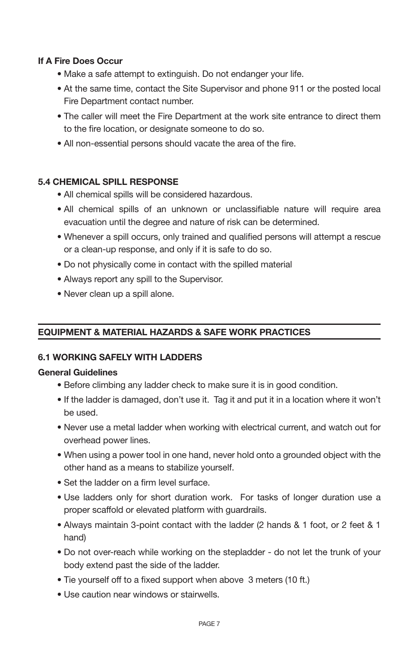#### **If A Fire Does Occur**

- Make a safe attempt to extinguish. Do not endanger your life.
- At the same time, contact the Site Supervisor and phone 911 or the posted local Fire Department contact number.
- The caller will meet the Fire Department at the work site entrance to direct them to the fire location, or designate someone to do so.
- All non-essential persons should vacate the area of the fire.

#### **5.4 CHEMICAL SPILL RESPONSE**

- All chemical spills will be considered hazardous.
- All chemical spills of an unknown or unclassifiable nature will require area evacuation until the degree and nature of risk can be determined.
- Whenever a spill occurs, only trained and qualified persons will attempt a rescue or a clean-up response, and only if it is safe to do so.
- Do not physically come in contact with the spilled material
- Always report any spill to the Supervisor.
- Never clean up a spill alone.

# **EQUIPMENT & MATERIAL HAZARDS & SAFE WORK PRACTICES**

#### **6.1 WORKING SAFELY WITH LADDERS**

#### **General Guidelines**

- Before climbing any ladder check to make sure it is in good condition.
- If the ladder is damaged, don't use it. Tag it and put it in a location where it won't be used.
- Never use a metal ladder when working with electrical current, and watch out for overhead power lines.
- When using a power tool in one hand, never hold onto a grounded object with the other hand as a means to stabilize yourself.
- Set the ladder on a firm level surface.
- Use ladders only for short duration work. For tasks of longer duration use a proper scaffold or elevated platform with guardrails.
- Always maintain 3-point contact with the ladder (2 hands & 1 foot, or 2 feet & 1 hand)
- Do not over-reach while working on the stepladder do not let the trunk of your body extend past the side of the ladder.
- Tie yourself off to a fixed support when above 3 meters (10 ft.)
- Use caution near windows or stairwells.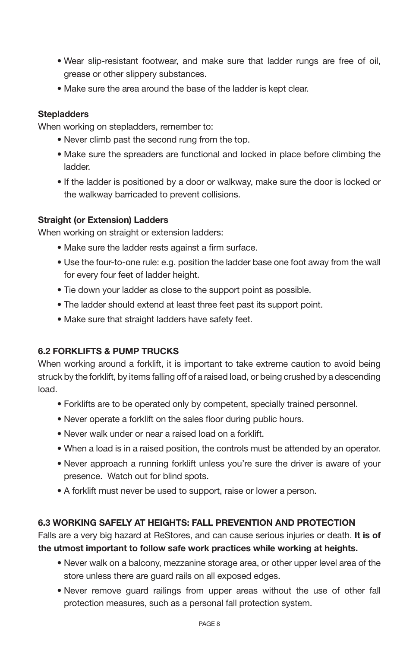- Wear slip-resistant footwear, and make sure that ladder rungs are free of oil, grease or other slippery substances.
- Make sure the area around the base of the ladder is kept clear.

#### **Stepladders**

When working on stepladders, remember to:

- Never climb past the second rung from the top.
- Make sure the spreaders are functional and locked in place before climbing the ladder.
- If the ladder is positioned by a door or walkway, make sure the door is locked or the walkway barricaded to prevent collisions.

#### **Straight (or Extension) Ladders**

When working on straight or extension ladders:

- Make sure the ladder rests against a firm surface.
- Use the four-to-one rule: e.g. position the ladder base one foot away from the wall for every four feet of ladder height.
- Tie down your ladder as close to the support point as possible.
- The ladder should extend at least three feet past its support point.
- Make sure that straight ladders have safety feet.

#### **6.2 FORKLIFTS & PUMP TRUCKS**

When working around a forklift, it is important to take extreme caution to avoid being struck by the forklift, by items falling off of a raised load, or being crushed by a descending load.

- Forklifts are to be operated only by competent, specially trained personnel.
- Never operate a forklift on the sales floor during public hours.
- Never walk under or near a raised load on a forklift.
- When a load is in a raised position, the controls must be attended by an operator.
- Never approach a running forklift unless you're sure the driver is aware of your presence. Watch out for blind spots.
- A forklift must never be used to support, raise or lower a person.

# **6.3 WORKING SAFELY AT HEIGHTS: FALL PREVENTION AND PROTECTION**

Falls are a very big hazard at ReStores, and can cause serious injuries or death. **It is of the utmost important to follow safe work practices while working at heights.**

- Never walk on a balcony, mezzanine storage area, or other upper level area of the store unless there are guard rails on all exposed edges.
- Never remove guard railings from upper areas without the use of other fall protection measures, such as a personal fall protection system.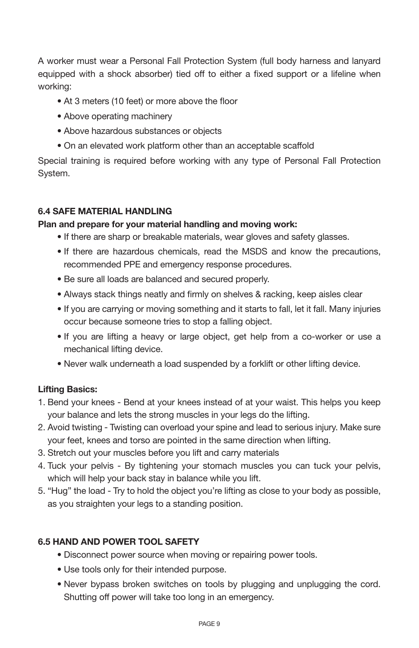A worker must wear a Personal Fall Protection System (full body harness and lanyard equipped with a shock absorber) tied off to either a fixed support or a lifeline when working:

- At 3 meters (10 feet) or more above the floor
- Above operating machinery
- Above hazardous substances or objects
- On an elevated work platform other than an acceptable scaffold

Special training is required before working with any type of Personal Fall Protection System.

#### **6.4 SAFE MATERIAL HANDLING**

#### **Plan and prepare for your material handling and moving work:**

- If there are sharp or breakable materials, wear gloves and safety glasses.
- If there are hazardous chemicals, read the MSDS and know the precautions, recommended PPE and emergency response procedures.
- Be sure all loads are balanced and secured properly.
- Always stack things neatly and firmly on shelves & racking, keep aisles clear
- If you are carrying or moving something and it starts to fall, let it fall. Many injuries occur because someone tries to stop a falling object.
- If you are lifting a heavy or large object, get help from a co-worker or use a mechanical lifting device.
- Never walk underneath a load suspended by a forklift or other lifting device.

# **Lifting Basics:**

- 1. Bend your knees Bend at your knees instead of at your waist. This helps you keep your balance and lets the strong muscles in your legs do the lifting.
- 2. Avoid twisting Twisting can overload your spine and lead to serious injury. Make sure your feet, knees and torso are pointed in the same direction when lifting.
- 3. Stretch out your muscles before you lift and carry materials
- 4. Tuck your pelvis By tightening your stomach muscles you can tuck your pelvis, which will help your back stay in balance while you lift.
- 5. "Hug" the load Try to hold the object you're lifting as close to your body as possible, as you straighten your legs to a standing position.

# **6.5 HAND AND POWER TOOL SAFETY**

- Disconnect power source when moving or repairing power tools.
- Use tools only for their intended purpose.
- Never bypass broken switches on tools by plugging and unplugging the cord. Shutting off power will take too long in an emergency.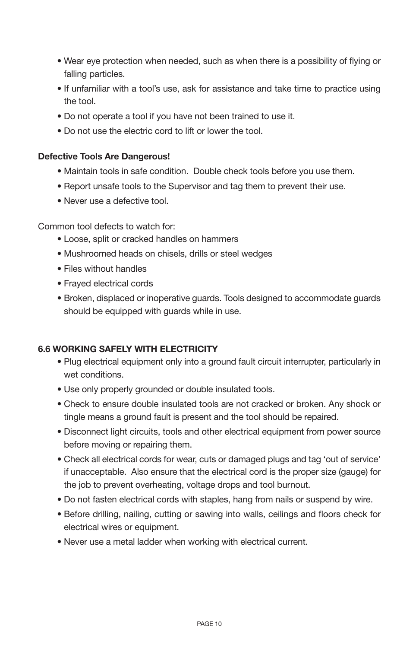- Wear eye protection when needed, such as when there is a possibility of flying or falling particles.
- If unfamiliar with a tool's use, ask for assistance and take time to practice using the tool.
- Do not operate a tool if you have not been trained to use it.
- Do not use the electric cord to lift or lower the tool.

#### **Defective Tools Are Dangerous!**

- Maintain tools in safe condition. Double check tools before you use them.
- Report unsafe tools to the Supervisor and tag them to prevent their use.
- Never use a defective tool.

Common tool defects to watch for:

- Loose, split or cracked handles on hammers
- Mushroomed heads on chisels, drills or steel wedges
- Files without handles
- Frayed electrical cords
- Broken, displaced or inoperative guards. Tools designed to accommodate guards should be equipped with guards while in use.

#### **6.6 WORKING SAFELY WITH ELECTRICITY**

- Plug electrical equipment only into a ground fault circuit interrupter, particularly in wet conditions.
- Use only properly grounded or double insulated tools.
- Check to ensure double insulated tools are not cracked or broken. Any shock or tingle means a ground fault is present and the tool should be repaired.
- Disconnect light circuits, tools and other electrical equipment from power source before moving or repairing them.
- Check all electrical cords for wear, cuts or damaged plugs and tag 'out of service' if unacceptable. Also ensure that the electrical cord is the proper size (gauge) for the job to prevent overheating, voltage drops and tool burnout.
- Do not fasten electrical cords with staples, hang from nails or suspend by wire.
- Before drilling, nailing, cutting or sawing into walls, ceilings and floors check for electrical wires or equipment.
- Never use a metal ladder when working with electrical current.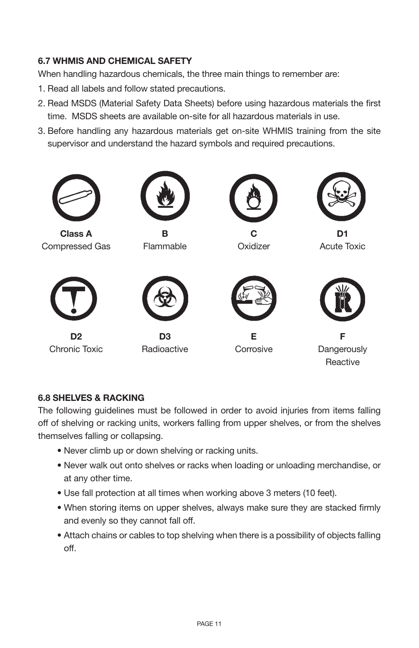# **6.7 WHMIS AND CHEMICAL SAFETY**

When handling hazardous chemicals, the three main things to remember are:

- 1. Read all labels and follow stated precautions.
- 2. Read MSDS (Material Safety Data Sheets) before using hazardous materials the first time. MSDS sheets are available on-site for all hazardous materials in use.
- 3. Before handling any hazardous materials get on-site WHMIS training from the site supervisor and understand the hazard symbols and required precautions.



# **6.8 SHELVES & RACKING**

The following guidelines must be followed in order to avoid injuries from items falling off of shelving or racking units, workers falling from upper shelves, or from the shelves themselves falling or collapsing.

- Never climb up or down shelving or racking units.
- Never walk out onto shelves or racks when loading or unloading merchandise, or at any other time.
- Use fall protection at all times when working above 3 meters (10 feet).
- When storing items on upper shelves, always make sure they are stacked firmly and evenly so they cannot fall off.
- Attach chains or cables to top shelving when there is a possibility of objects falling off.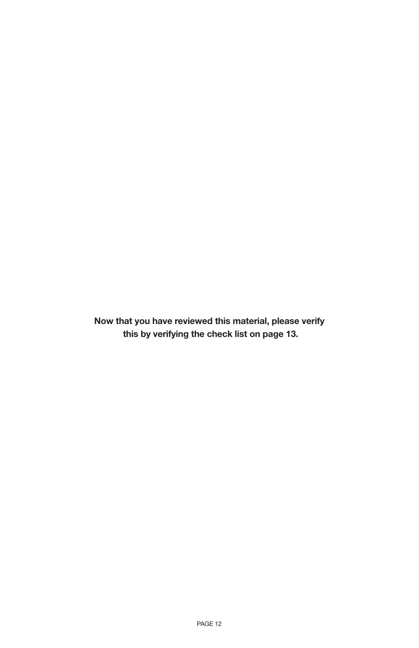**Now that you have reviewed this material, please verify this by verifying the check list on page 13.**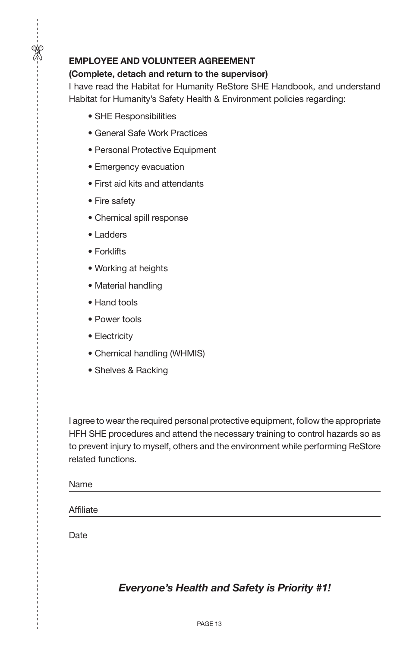#### **EMPLOYEE AND VOLUNTEER AGREEMENT**

#### **(Complete, detach and return to the supervisor)**

I have read the Habitat for Humanity ReStore SHE Handbook, and understand Habitat for Humanity's Safety Health & Environment policies regarding:

- SHE Responsibilities
- General Safe Work Practices
- Personal Protective Equipment
- Emergency evacuation
- First aid kits and attendants
- Fire safety

 $\frac{1}{2}$ 

- Chemical spill response
- Ladders
- Forklifts
- Working at heights
- Material handling
- Hand tools
- Power tools
- Electricity
- Chemical handling (WHMIS)
- Shelves & Racking

I agree to wear the required personal protective equipment, follow the appropriate HFH SHE procedures and attend the necessary training to control hazards so as to prevent injury to myself, others and the environment while performing ReStore related functions.

Name

**Affiliate** 

Date

# *Everyone's Health and Safety is Priority #1!*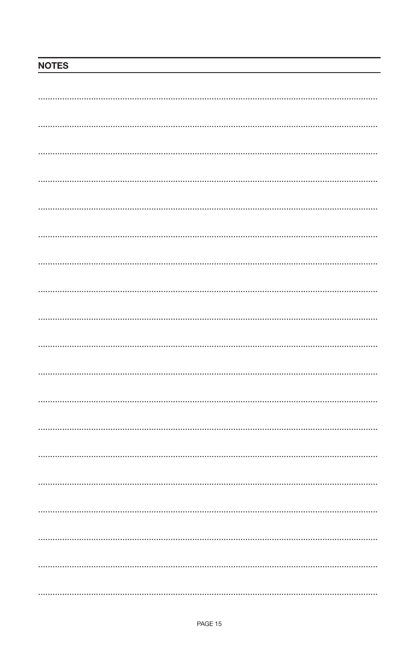# **NOTES**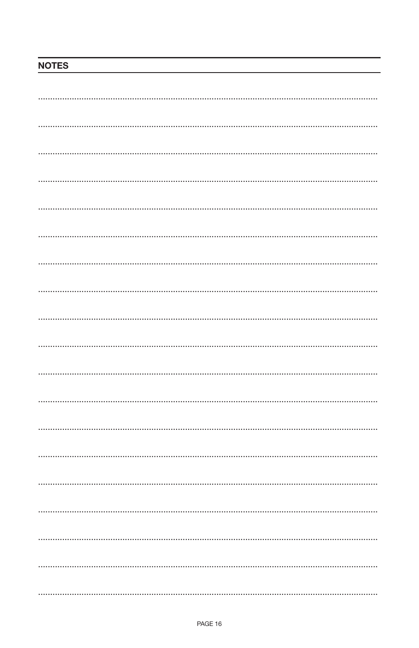# **NOTES**